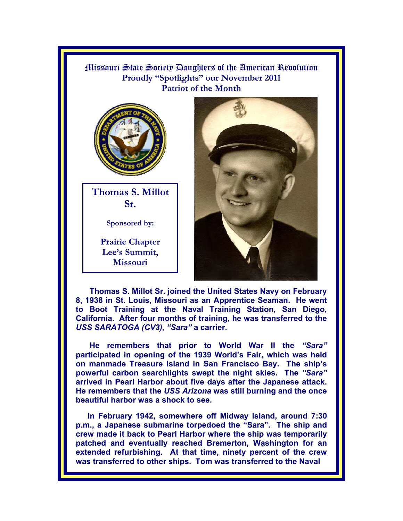Missouri State Society Daughters of the American Revolution **Proudly "Spotlights" our November 2011 Patriot of the Month**



**Thomas S. Millot Sr.** 

**Sponsored by:** 

**Prairie Chapter Lee's Summit, Missouri** 



**Thomas S. Millot Sr. joined the United States Navy on February 8, 1938 in St. Louis, Missouri as an Apprentice Seaman. He went to Boot Training at the Naval Training Station, San Diego, California. After four months of training, he was transferred to the**  *USS SARATOGA (CV3), "Sara"* **a carrier.** 

**He remembers that prior to World War II the** *"Sara"*  **participated in opening of the 1939 World's Fair, which was held on manmade Treasure Island in San Francisco Bay. The ship's powerful carbon searchlights swept the night skies. The** *"Sara"* **arrived in Pearl Harbor about five days after the Japanese attack. He remembers that the** *USS Arizona* **was still burning and the once beautiful harbor was a shock to see.** 

**In February 1942, somewhere off Midway Island, around 7:30 p.m., a Japanese submarine torpedoed the "Sara". The ship and crew made it back to Pearl Harbor where the ship was temporarily patched and eventually reached Bremerton, Washington for an extended refurbishing. At that time, ninety percent of the crew was transferred to other ships. Tom was transferred to the Naval**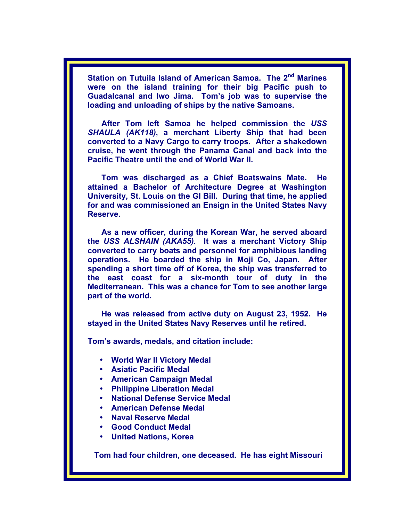Station on Tutuila Island of American Samoa. The 2<sup>nd</sup> Marines **were on the island training for their big Pacific push to Guadalcanal and Iwo Jima. Tom's job was to supervise the loading and unloading of ships by the native Samoans.** 

**After Tom left Samoa he helped commission the** *USS SHAULA (AK118)***, a merchant Liberty Ship that had been converted to a Navy Cargo to carry troops. After a shakedown cruise, he went through the Panama Canal and back into the Pacific Theatre until the end of World War II.** 

**Tom was discharged as a Chief Boatswains Mate. He attained a Bachelor of Architecture Degree at Washington University, St. Louis on the GI Bill. During that time, he applied for and was commissioned an Ensign in the United States Navy Reserve.** 

**As a new officer, during the Korean War, he served aboard the** *USS ALSHAIN (AKA55).* **It was a merchant Victory Ship converted to carry boats and personnel for amphibious landing operations. He boarded the ship in Moji Co, Japan. After spending a short time off of Korea, the ship was transferred to the east coast for a six-month tour of duty in the Mediterranean. This was a chance for Tom to see another large part of the world.** 

**He was released from active duty on August 23, 1952. He stayed in the United States Navy Reserves until he retired.** 

**Tom's awards, medals, and citation include:** 

- **World War II Victory Medal**
- **Asiatic Pacific Medal**
- **American Campaign Medal**
- **Philippine Liberation Medal**
- **National Defense Service Medal**
- **American Defense Medal**
- **Naval Reserve Medal**
- **Good Conduct Medal**
- **United Nations, Korea**

 **Tom had four children, one deceased. He has eight Missouri**